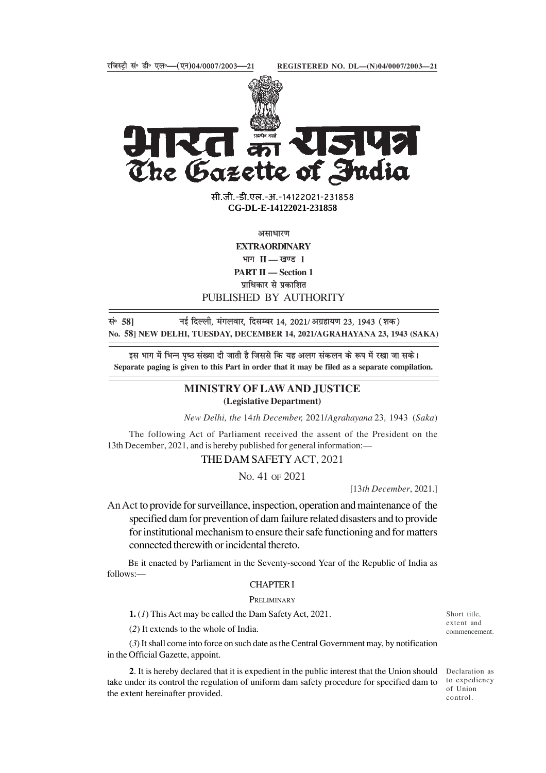15142



The Gazette of India

**xxxGIDHxxx** सी.जी.-डी.एल.-अ.-14122021-231858 सी.जी.-डी.एल.-अ.-14122021-231858**xxxGIDExxx CG-DL-E-14122021-231858**

असाधारण

**EXTRAORDINARY**

भाग II — खण्ड 1

**PART II — Section 1**

प्राधिकार से प्रकाशित

# PUBLISHED BY AUTHORITY

lañ **58]** ubZ fnYyh] eaxyokj] fnlEcj 14] 2021@vxzgk;.k 23] 1943 ¼'kd½ **No. 58] NEW DELHI, TUESDAY, DECEMBER 14, 2021/AGRAHAYANA 23, 1943 (SAKA)**

इस भाग में भिन्न पृष्ठ संख्या दी जाती है जिससे कि यह अलग संकलन के रूप में रखा जा सके। **Separate paging is given to this Part in order that it may be filed as a separate compilation.**

# **MINISTRY OF LAW AND JUSTICE (Legislative Department)**

*New Delhi, the* 14*th December,* 2021/*Agrahayana* 23*,* 1943 (*Saka*)

The following Act of Parliament received the assent of the President on the 13th December, 2021, and is hereby published for general information:—

THE DAM SAFETY ACT, 2021

NO. 41 OF 2021

[13*th December*, 2021.]

An Act to provide for surveillance, inspection, operation and maintenance of the specified dam for prevention of dam failure related disasters and to provide for institutional mechanism to ensure their safe functioning and for matters connected therewith or incidental thereto.

 BE it enacted by Parliament in the Seventy-second Year of the Republic of India as follows:—

### CHAPTER I

#### **PRELIMINARY**

**1.** (*1*) This Act may be called the Dam Safety Act, 2021.

(*2*) It extends to the whole of India.

(*3*) It shall come into force on such date as the Central Government may, by notification in the Official Gazette, appoint.

**2**. It is hereby declared that it is expedient in the public interest that the Union should take under its control the regulation of uniform dam safety procedure for specified dam to the extent hereinafter provided.

Short title, extent and commencement.

Declaration as to expediency of Union control.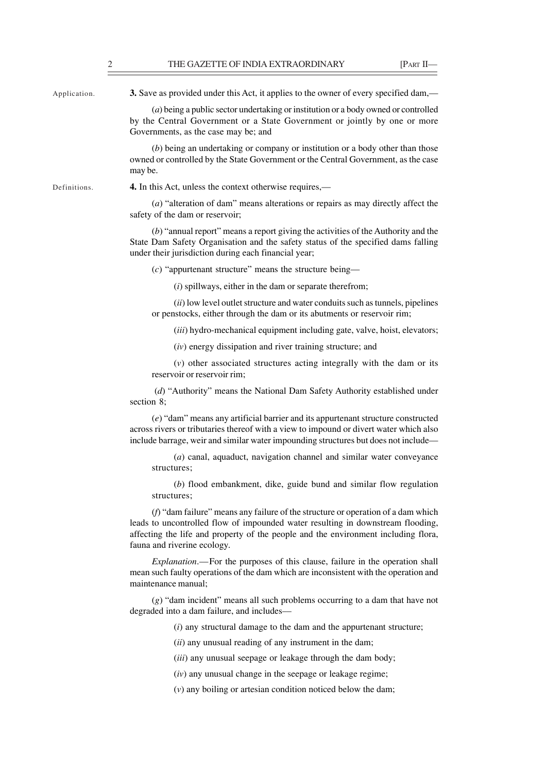Application.

**3.** Save as provided under this Act, it applies to the owner of every specified dam,—

(*a*) being a public sector undertaking or institution or a body owned or controlled by the Central Government or a State Government or jointly by one or more Governments, as the case may be; and

(*b*) being an undertaking or company or institution or a body other than those owned or controlled by the State Government or the Central Government, as the case may be.

Definitions.

**4.** In this Act, unless the context otherwise requires,—

(*a*) "alteration of dam" means alterations or repairs as may directly affect the safety of the dam or reservoir;

(*b*) "annual report" means a report giving the activities of the Authority and the State Dam Safety Organisation and the safety status of the specified dams falling under their jurisdiction during each financial year;

(*c*) "appurtenant structure" means the structure being—

(*i*) spillways, either in the dam or separate therefrom;

(*ii*) low level outlet structure and water conduits such as tunnels, pipelines or penstocks, either through the dam or its abutments or reservoir rim;

(*iii*) hydro-mechanical equipment including gate, valve, hoist, elevators;

(*iv*) energy dissipation and river training structure; and

(*v*) other associated structures acting integrally with the dam or its reservoir or reservoir rim;

 (*d*) "Authority" means the National Dam Safety Authority established under section 8;

(*e*) "dam" means any artificial barrier and its appurtenant structure constructed across rivers or tributaries thereof with a view to impound or divert water which also include barrage, weir and similar water impounding structures but does not include—

(*a*) canal, aquaduct, navigation channel and similar water conveyance structures;

(*b*) flood embankment, dike, guide bund and similar flow regulation structures;

(*f*) "dam failure" means any failure of the structure or operation of a dam which leads to uncontrolled flow of impounded water resulting in downstream flooding, affecting the life and property of the people and the environment including flora, fauna and riverine ecology.

*Explanation*.—For the purposes of this clause, failure in the operation shall mean such faulty operations of the dam which are inconsistent with the operation and maintenance manual;

(*g*) "dam incident" means all such problems occurring to a dam that have not degraded into a dam failure, and includes––

(*i*) any structural damage to the dam and the appurtenant structure;

(*ii*) any unusual reading of any instrument in the dam;

(*iii*) any unusual seepage or leakage through the dam body;

(*iv*) any unusual change in the seepage or leakage regime;

(*v*) any boiling or artesian condition noticed below the dam;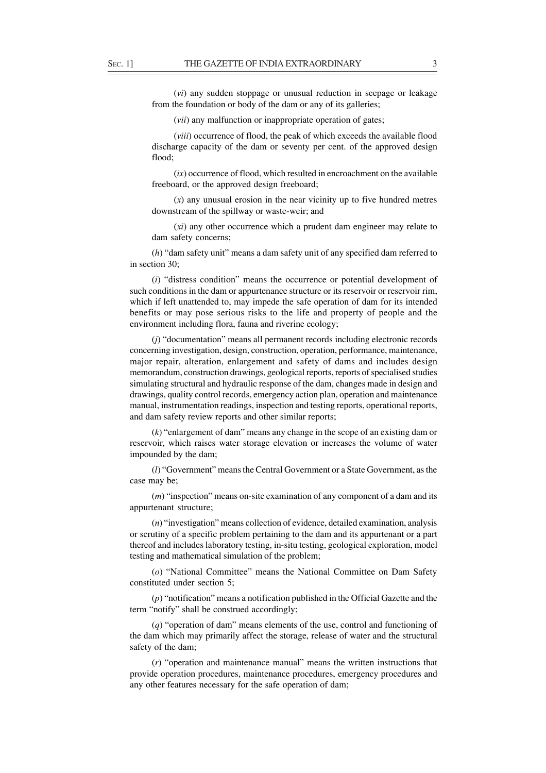(*vi*) any sudden stoppage or unusual reduction in seepage or leakage from the foundation or body of the dam or any of its galleries;

(*vii*) any malfunction or inappropriate operation of gates;

(*viii*) occurrence of flood, the peak of which exceeds the available flood discharge capacity of the dam or seventy per cent. of the approved design flood;

(*ix*) occurrence of flood, which resulted in encroachment on the available freeboard, or the approved design freeboard;

(*x*) any unusual erosion in the near vicinity up to five hundred metres downstream of the spillway or waste-weir; and

(*xi*) any other occurrence which a prudent dam engineer may relate to dam safety concerns;

(*h*) "dam safety unit" means a dam safety unit of any specified dam referred to in section 30;

(*i*) "distress condition" means the occurrence or potential development of such conditions in the dam or appurtenance structure or its reservoir or reservoir rim, which if left unattended to, may impede the safe operation of dam for its intended benefits or may pose serious risks to the life and property of people and the environment including flora, fauna and riverine ecology;

(*j*) "documentation" means all permanent records including electronic records concerning investigation, design, construction, operation, performance, maintenance, major repair, alteration, enlargement and safety of dams and includes design memorandum, construction drawings, geological reports, reports of specialised studies simulating structural and hydraulic response of the dam, changes made in design and drawings, quality control records, emergency action plan, operation and maintenance manual, instrumentation readings, inspection and testing reports, operational reports, and dam safety review reports and other similar reports;

(*k*) "enlargement of dam" means any change in the scope of an existing dam or reservoir, which raises water storage elevation or increases the volume of water impounded by the dam;

(*l*) "Government" means the Central Government or a State Government, as the case may be;

(*m*) "inspection" means on-site examination of any component of a dam and its appurtenant structure;

(*n*) "investigation" means collection of evidence, detailed examination, analysis or scrutiny of a specific problem pertaining to the dam and its appurtenant or a part thereof and includes laboratory testing, in-situ testing, geological exploration, model testing and mathematical simulation of the problem;

(*o*) "National Committee" means the National Committee on Dam Safety constituted under section 5;

(*p*) "notification" means a notification published in the Official Gazette and the term "notify" shall be construed accordingly;

(*q*) "operation of dam" means elements of the use, control and functioning of the dam which may primarily affect the storage, release of water and the structural safety of the dam;

(*r*) "operation and maintenance manual" means the written instructions that provide operation procedures, maintenance procedures, emergency procedures and any other features necessary for the safe operation of dam;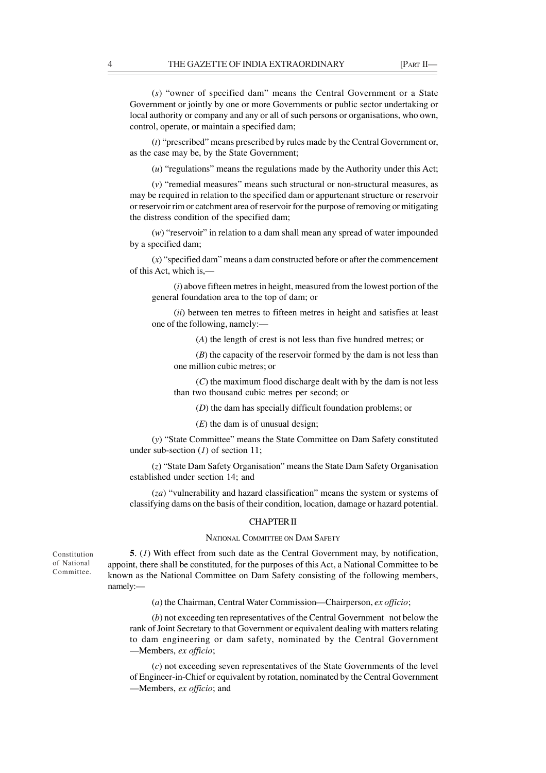(*s*) "owner of specified dam" means the Central Government or a State Government or jointly by one or more Governments or public sector undertaking or local authority or company and any or all of such persons or organisations, who own, control, operate, or maintain a specified dam;

(*t*) "prescribed" means prescribed by rules made by the Central Government or, as the case may be, by the State Government;

(*u*) "regulations" means the regulations made by the Authority under this Act;

(*v*) "remedial measures" means such structural or non-structural measures, as may be required in relation to the specified dam or appurtenant structure or reservoir or reservoir rim or catchment area of reservoir for the purpose of removing or mitigating the distress condition of the specified dam;

(*w*) "reservoir" in relation to a dam shall mean any spread of water impounded by a specified dam;

(*x*) "specified dam" means a dam constructed before or after the commencement of this Act, which is,—

(*i*) above fifteen metres in height, measured from the lowest portion of the general foundation area to the top of dam; or

(*ii*) between ten metres to fifteen metres in height and satisfies at least one of the following, namely:—

(*A*) the length of crest is not less than five hundred metres; or

(*B*) the capacity of the reservoir formed by the dam is not less than one million cubic metres; or

(*C*) the maximum flood discharge dealt with by the dam is not less than two thousand cubic metres per second; or

(*D*) the dam has specially difficult foundation problems; or

(*E*) the dam is of unusual design;

(*y*) "State Committee" means the State Committee on Dam Safety constituted under sub-section (*1*) of section 11;

(*z*) "State Dam Safety Organisation" means the State Dam Safety Organisation established under section 14; and

(*za*) "vulnerability and hazard classification" means the system or systems of classifying dams on the basis of their condition, location, damage or hazard potential.

### CHAPTER II

#### NATIONAL COMMITTEE ON DAM SAFETY

**5**. (*1*) With effect from such date as the Central Government may, by notification, appoint, there shall be constituted, for the purposes of this Act, a National Committee to be known as the National Committee on Dam Safety consisting of the following members, namely:—

(*a*) the Chairman, Central Water Commission—Chairperson, *ex officio*;

(*b*) not exceeding ten representatives of the Central Government not below the rank of Joint Secretary to that Government or equivalent dealing with matters relating to dam engineering or dam safety, nominated by the Central Government —Members, *ex officio*;

(*c*) not exceeding seven representatives of the State Governments of the level of Engineer-in-Chief or equivalent by rotation, nominated by the Central Government —Members, *ex officio*; and

Constitution of National Committee.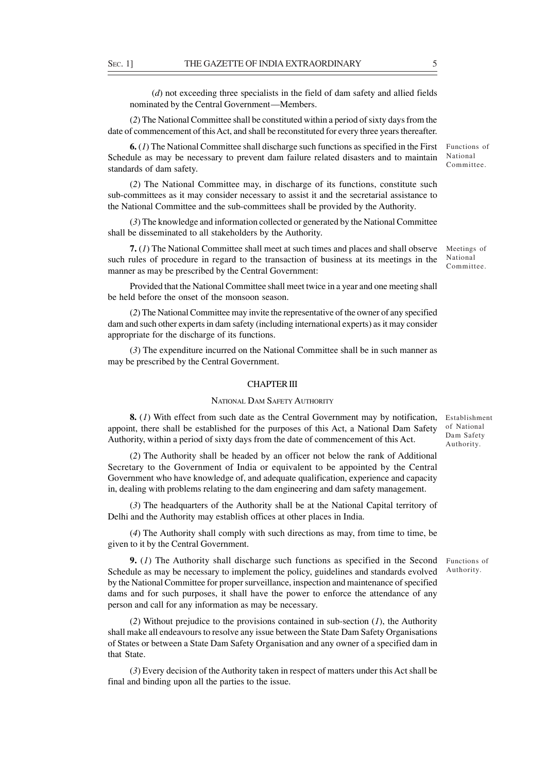(*d*) not exceeding three specialists in the field of dam safety and allied fields nominated by the Central Government—Members.

(*2*) The National Committee shall be constituted within a period of sixty days from the date of commencement of this Act, and shall be reconstituted for every three years thereafter.

**6.** (*1*) The National Committee shall discharge such functions as specified in the First Schedule as may be necessary to prevent dam failure related disasters and to maintain standards of dam safety.

(*2*) The National Committee may, in discharge of its functions, constitute such sub-committees as it may consider necessary to assist it and the secretarial assistance to the National Committee and the sub-committees shall be provided by the Authority.

(*3*) The knowledge and information collected or generated by the National Committee shall be disseminated to all stakeholders by the Authority.

Meetings of National Committee. **7.** (*1*) The National Committee shall meet at such times and places and shall observe such rules of procedure in regard to the transaction of business at its meetings in the manner as may be prescribed by the Central Government:

Provided that the National Committee shall meet twice in a year and one meeting shall be held before the onset of the monsoon season.

(*2*) The National Committee may invite the representative of the owner of any specified dam and such other experts in dam safety (including international experts) as it may consider appropriate for the discharge of its functions.

(*3*) The expenditure incurred on the National Committee shall be in such manner as may be prescribed by the Central Government.

#### CHAPTER III

#### NATIONAL DAM SAFETY AUTHORITY

**8.** (*1*) With effect from such date as the Central Government may by notification, appoint, there shall be established for the purposes of this Act, a National Dam Safety Authority, within a period of sixty days from the date of commencement of this Act.

(*2*) The Authority shall be headed by an officer not below the rank of Additional Secretary to the Government of India or equivalent to be appointed by the Central Government who have knowledge of, and adequate qualification, experience and capacity in, dealing with problems relating to the dam engineering and dam safety management.

(*3*) The headquarters of the Authority shall be at the National Capital territory of Delhi and the Authority may establish offices at other places in India.

(*4*) The Authority shall comply with such directions as may, from time to time, be given to it by the Central Government.

**9.** (*1*) The Authority shall discharge such functions as specified in the Second Schedule as may be necessary to implement the policy, guidelines and standards evolved by the National Committee for proper surveillance, inspection and maintenance of specified dams and for such purposes, it shall have the power to enforce the attendance of any person and call for any information as may be necessary.

(*2*) Without prejudice to the provisions contained in sub-section (*1*), the Authority shall make all endeavours to resolve any issue between the State Dam Safety Organisations of States or between a State Dam Safety Organisation and any owner of a specified dam in that State.

(*3*) Every decision of the Authority taken in respect of matters under this Act shall be final and binding upon all the parties to the issue.

Establishment of National Dam Safety Authority.

Functions of Authority.

Functions of National Committee.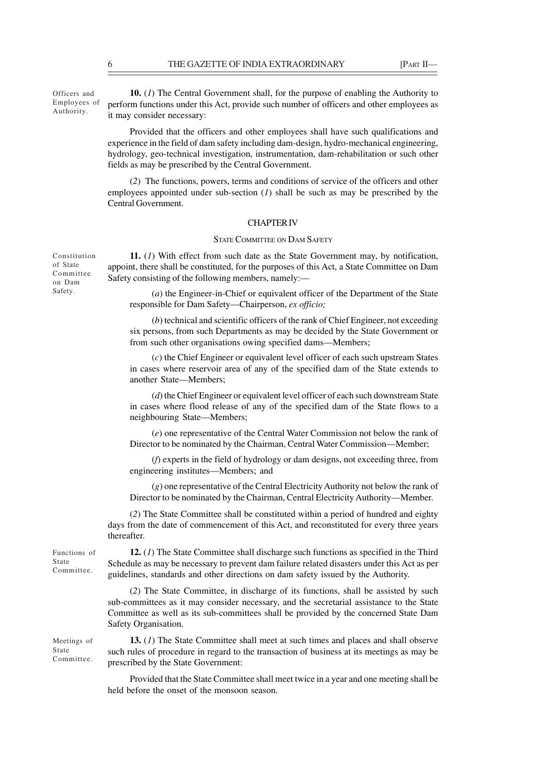Officers and Employees of Authority.

**10.** (*1*) The Central Government shall, for the purpose of enabling the Authority to perform functions under this Act, provide such number of officers and other employees as it may consider necessary:

Provided that the officers and other employees shall have such qualifications and experience in the field of dam safety including dam-design, hydro-mechanical engineering, hydrology, geo-technical investigation, instrumentation, dam-rehabilitation or such other fields as may be prescribed by the Central Government.

(*2*)The functions, powers, terms and conditions of service of the officers and other employees appointed under sub-section (*1*) shall be such as may be prescribed by the Central Government.

### CHAPTER IV

#### STATE COMMITTEE ON DAM SAFETY

**11.** (*1*) With effect from such date as the State Government may, by notification, appoint, there shall be constituted, for the purposes of this Act, a State Committee on Dam Safety consisting of the following members, namely:—

(*a*) the Engineer-in-Chief or equivalent officer of the Department of the State responsible for Dam Safety—Chairperson, *ex officio;*

(*b*) technical and scientific officers of the rank of Chief Engineer, not exceeding six persons, from such Departments as may be decided by the State Government or from such other organisations owing specified dams—Members;

(*c*) the Chief Engineer or equivalent level officer of each such upstream States in cases where reservoir area of any of the specified dam of the State extends to another State—Members;

(*d*) the Chief Engineer or equivalent level officer of each such downstream State in cases where flood release of any of the specified dam of the State flows to a neighbouring State—Members;

(*e*) one representative of the Central Water Commission not below the rank of Director to be nominated by the Chairman, Central Water Commission—Member;

(*f*) experts in the field of hydrology or dam designs, not exceeding three, from engineering institutes—Members; and

(*g*) one representative of the Central Electricity Authority not below the rank of Director to be nominated by the Chairman, Central Electricity Authority—Member.

(*2*) The State Committee shall be constituted within a period of hundred and eighty days from the date of commencement of this Act, and reconstituted for every three years thereafter.

Functions of State Committee.

Meetings of State Committee.

**12.** (*1*) The State Committee shall discharge such functions as specified in the Third Schedule as may be necessary to prevent dam failure related disasters under this Act as per guidelines, standards and other directions on dam safety issued by the Authority.

(*2*) The State Committee, in discharge of its functions, shall be assisted by such sub-committees as it may consider necessary, and the secretarial assistance to the State Committee as well as its sub-committees shall be provided by the concerned State Dam Safety Organisation.

**13.** (*1*) The State Committee shall meet at such times and places and shall observe such rules of procedure in regard to the transaction of business at its meetings as may be prescribed by the State Government:

Provided that the State Committee shall meet twice in a year and one meeting shall be held before the onset of the monsoon season.

Constitution of State Committee on Dam Safety.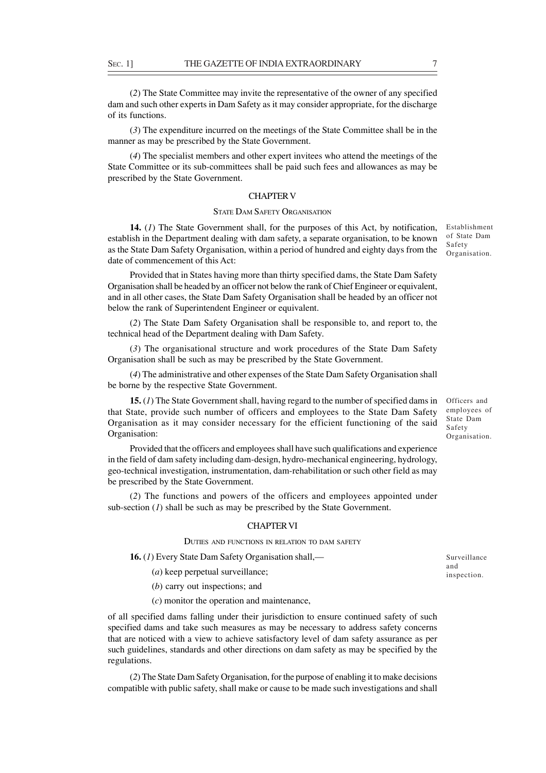(*2*) The State Committee may invite the representative of the owner of any specified dam and such other experts in Dam Safety as it may consider appropriate, for the discharge of its functions.

(*3*) The expenditure incurred on the meetings of the State Committee shall be in the manner as may be prescribed by the State Government.

(*4*) The specialist members and other expert invitees who attend the meetings of the State Committee or its sub-committees shall be paid such fees and allowances as may be prescribed by the State Government.

# CHAPTER V

### STATE DAM SAFETY ORGANISATION

**14.** (*1*) The State Government shall, for the purposes of this Act, by notification, establish in the Department dealing with dam safety, a separate organisation, to be known as the State Dam Safety Organisation, within a period of hundred and eighty days from the date of commencement of this Act:

Provided that in States having more than thirty specified dams, the State Dam Safety Organisation shall be headed by an officer not below the rank of Chief Engineer or equivalent, and in all other cases, the State Dam Safety Organisation shall be headed by an officer not below the rank of Superintendent Engineer or equivalent.

(*2*) The State Dam Safety Organisation shall be responsible to, and report to, the technical head of the Department dealing with Dam Safety.

(*3*) The organisational structure and work procedures of the State Dam Safety Organisation shall be such as may be prescribed by the State Government.

(*4*) The administrative and other expenses of the State Dam Safety Organisation shall be borne by the respective State Government.

**15.** (*1*) The State Government shall, having regard to the number of specified dams in that State, provide such number of officers and employees to the State Dam Safety Organisation as it may consider necessary for the efficient functioning of the said Organisation:

Provided that the officers and employees shall have such qualifications and experience in the field of dam safety including dam-design, hydro-mechanical engineering, hydrology, geo-technical investigation, instrumentation, dam-rehabilitation or such other field as may be prescribed by the State Government.

(*2*) The functions and powers of the officers and employees appointed under sub-section (*1*) shall be such as may be prescribed by the State Government.

#### CHAPTER VI

DUTIES AND FUNCTIONS IN RELATION TO DAM SAFETY

**16.** (*1*) Every State Dam Safety Organisation shall,—

(*a*) keep perpetual surveillance;

(*b*) carry out inspections; and

(*c*) monitor the operation and maintenance,

of all specified dams falling under their jurisdiction to ensure continued safety of such specified dams and take such measures as may be necessary to address safety concerns that are noticed with a view to achieve satisfactory level of dam safety assurance as per such guidelines, standards and other directions on dam safety as may be specified by the regulations.

(*2*) The State Dam Safety Organisation, for the purpose of enabling it to make decisions compatible with public safety, shall make or cause to be made such investigations and shall

Officers and employees of State Dam Safety Organisation.

Establishment of State Dam Safety Organisation.

Surveillance and inspection.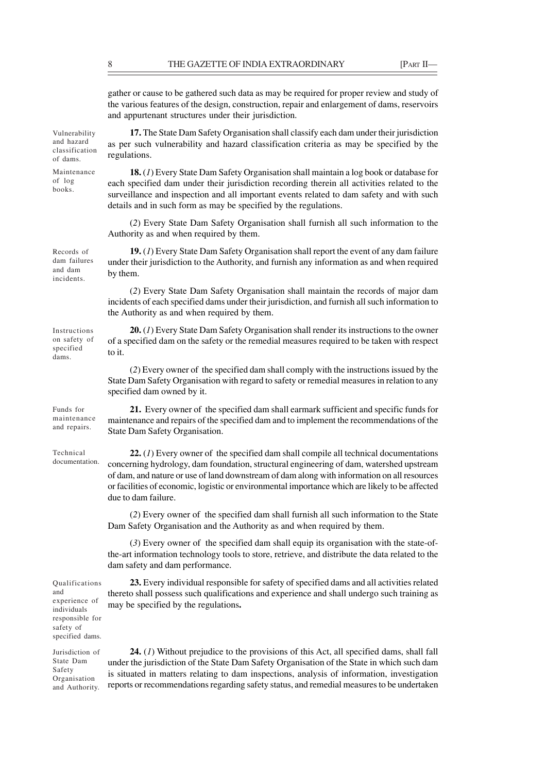gather or cause to be gathered such data as may be required for proper review and study of the various features of the design, construction, repair and enlargement of dams, reservoirs and appurtenant structures under their jurisdiction.

**17.** The State Dam Safety Organisation shall classify each dam under their jurisdiction as per such vulnerability and hazard classification criteria as may be specified by the regulations.

**18.** (*1*) Every State Dam Safety Organisation shall maintain a log book or database for each specified dam under their jurisdiction recording therein all activities related to the surveillance and inspection and all important events related to dam safety and with such details and in such form as may be specified by the regulations.

(*2*) Every State Dam Safety Organisation shall furnish all such information to the Authority as and when required by them.

**19.** (*1*) Every State Dam Safety Organisation shall report the event of any dam failure under their jurisdiction to the Authority, and furnish any information as and when required by them.

(*2*) Every State Dam Safety Organisation shall maintain the records of major dam incidents of each specified dams under their jurisdiction, and furnish all such information to the Authority as and when required by them.

**20.** (*1*) Every State Dam Safety Organisation shall render its instructions to the owner of a specified dam on the safety or the remedial measures required to be taken with respect to it.

(*2*) Every owner of the specified dam shall comply with the instructions issued by the State Dam Safety Organisation with regard to safety or remedial measures in relation to any specified dam owned by it.

**21.** Every owner of the specified dam shall earmark sufficient and specific funds for maintenance and repairs of the specified dam and to implement the recommendations of the State Dam Safety Organisation.

**22.** (*1*) Every owner of the specified dam shall compile all technical documentations concerning hydrology, dam foundation, structural engineering of dam, watershed upstream of dam, and nature or use of land downstream of dam along with information on all resources or facilities of economic, logistic or environmental importance which are likely to be affected due to dam failure.

(*2*) Every owner of the specified dam shall furnish all such information to the State Dam Safety Organisation and the Authority as and when required by them.

(*3*) Every owner of the specified dam shall equip its organisation with the state-ofthe-art information technology tools to store, retrieve, and distribute the data related to the dam safety and dam performance.

**23.** Every individual responsible for safety of specified dams and all activities related thereto shall possess such qualifications and experience and shall undergo such training as may be specified by the regulations**.**

Jurisdiction of State Dam Safety Organisation and Authority.

Qualifications

experience of individuals responsible for safety of specified dams.

and

**24.** (*1*) Without prejudice to the provisions of this Act, all specified dams, shall fall under the jurisdiction of the State Dam Safety Organisation of the State in which such dam is situated in matters relating to dam inspections, analysis of information, investigation reports or recommendations regarding safety status, and remedial measures to be undertaken

Vulnerability and hazard classification of dams.

Maintenance of log books.

and dam incidents.

Records of dam failures

Instructions on safety of specified dams.

Funds for maintenance and repairs.

Technical documentation.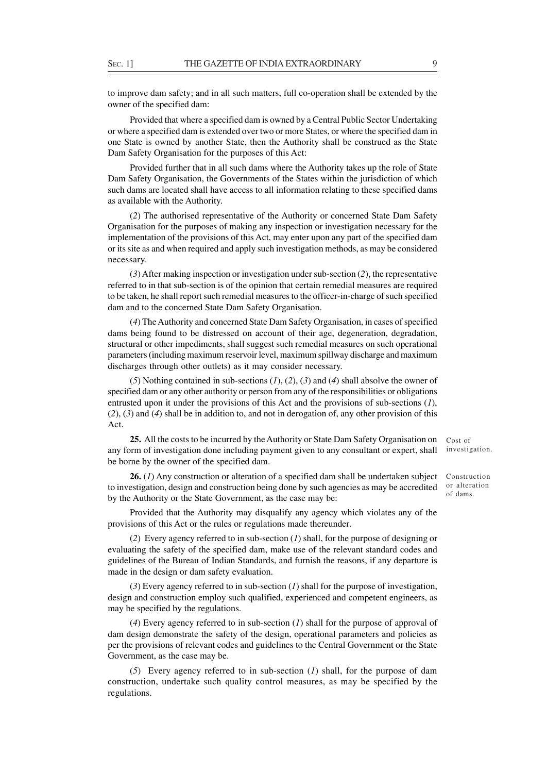to improve dam safety; and in all such matters, full co-operation shall be extended by the owner of the specified dam:

Provided that where a specified dam is owned by a Central Public Sector Undertaking or where a specified dam is extended over two or more States, or where the specified dam in one State is owned by another State, then the Authority shall be construed as the State Dam Safety Organisation for the purposes of this Act:

Provided further that in all such dams where the Authority takes up the role of State Dam Safety Organisation, the Governments of the States within the jurisdiction of which such dams are located shall have access to all information relating to these specified dams as available with the Authority.

(*2*) The authorised representative of the Authority or concerned State Dam Safety Organisation for the purposes of making any inspection or investigation necessary for the implementation of the provisions of this Act, may enter upon any part of the specified dam or its site as and when required and apply such investigation methods, as may be considered necessary.

(*3*) After making inspection or investigation under sub-section (*2*), the representative referred to in that sub-section is of the opinion that certain remedial measures are required to be taken, he shall report such remedial measures to the officer-in-charge of such specified dam and to the concerned State Dam Safety Organisation.

(*4*) The Authority and concerned State Dam Safety Organisation, in cases of specified dams being found to be distressed on account of their age, degeneration, degradation, structural or other impediments, shall suggest such remedial measures on such operational parameters (including maximum reservoir level, maximum spillway discharge and maximum discharges through other outlets) as it may consider necessary.

(*5*) Nothing contained in sub-sections (*1*), (*2*), (*3*) and (*4*) shall absolve the owner of specified dam or any other authority or person from any of the responsibilities or obligations entrusted upon it under the provisions of this Act and the provisions of sub-sections (*1*), (*2*), (*3*) and (*4*) shall be in addition to, and not in derogation of, any other provision of this Act.

**25.** All the costs to be incurred by the Authority or State Dam Safety Organisation on any form of investigation done including payment given to any consultant or expert, shall be borne by the owner of the specified dam.

**26.** (*1*) Any construction or alteration of a specified dam shall be undertaken subject to investigation, design and construction being done by such agencies as may be accredited by the Authority or the State Government, as the case may be:

Provided that the Authority may disqualify any agency which violates any of the provisions of this Act or the rules or regulations made thereunder.

(*2*) Every agency referred to in sub-section (*1*) shall, for the purpose of designing or evaluating the safety of the specified dam, make use of the relevant standard codes and guidelines of the Bureau of Indian Standards, and furnish the reasons, if any departure is made in the design or dam safety evaluation.

(*3*) Every agency referred to in sub-section (*1*) shall for the purpose of investigation, design and construction employ such qualified, experienced and competent engineers, as may be specified by the regulations.

(*4*) Every agency referred to in sub-section (*1*) shall for the purpose of approval of dam design demonstrate the safety of the design, operational parameters and policies as per the provisions of relevant codes and guidelines to the Central Government or the State Government, as the case may be.

(*5*) Every agency referred to in sub-section (*1*) shall, for the purpose of dam construction, undertake such quality control measures, as may be specified by the regulations.

Cost of investigation.

Construction or alteration of dams.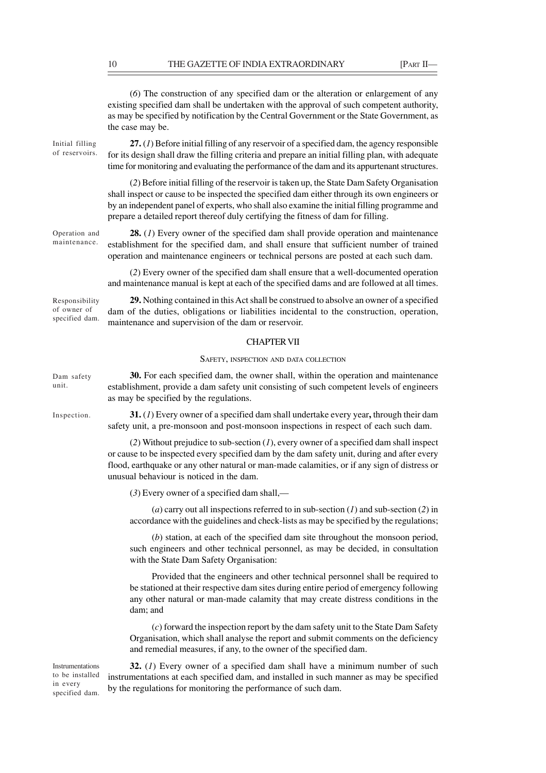(*6*) The construction of any specified dam or the alteration or enlargement of any existing specified dam shall be undertaken with the approval of such competent authority, as may be specified by notification by the Central Government or the State Government, as the case may be.

Initial filling of reservoirs.

**27.** (*1*) Before initial filling of any reservoir of a specified dam, the agency responsible for its design shall draw the filling criteria and prepare an initial filling plan, with adequate time for monitoring and evaluating the performance of the dam and its appurtenant structures.

(*2*) Before initial filling of the reservoir is taken up, the State Dam Safety Organisation shall inspect or cause to be inspected the specified dam either through its own engineers or by an independent panel of experts, who shall also examine the initial filling programme and prepare a detailed report thereof duly certifying the fitness of dam for filling.

**28.** (*1*) Every owner of the specified dam shall provide operation and maintenance establishment for the specified dam, and shall ensure that sufficient number of trained operation and maintenance engineers or technical persons are posted at each such dam. Operation and

> (*2*) Every owner of the specified dam shall ensure that a well-documented operation and maintenance manual is kept at each of the specified dams and are followed at all times.

**29.** Nothing contained in this Act shall be construed to absolve an owner of a specified dam of the duties, obligations or liabilities incidental to the construction, operation, maintenance and supervision of the dam or reservoir.

#### CHAPTER VII

### SAFETY, INSPECTION AND DATA COLLECTION

**30.** For each specified dam, the owner shall, within the operation and maintenance establishment, provide a dam safety unit consisting of such competent levels of engineers as may be specified by the regulations.

**31.** (*1*) Every owner of a specified dam shall undertake every year**,** through their dam safety unit, a pre-monsoon and post-monsoon inspections in respect of each such dam.

(*2*) Without prejudice to sub-section (*1*), every owner of a specified dam shall inspect or cause to be inspected every specified dam by the dam safety unit, during and after every flood, earthquake or any other natural or man-made calamities, or if any sign of distress or unusual behaviour is noticed in the dam.

(*3*) Every owner of a specified dam shall,—

(*a*) carry out all inspections referred to in sub-section (*1*) and sub-section (*2*) in accordance with the guidelines and check-lists as may be specified by the regulations;

(*b*) station, at each of the specified dam site throughout the monsoon period, such engineers and other technical personnel, as may be decided, in consultation with the State Dam Safety Organisation:

Provided that the engineers and other technical personnel shall be required to be stationed at their respective dam sites during entire period of emergency following any other natural or man-made calamity that may create distress conditions in the dam; and

(*c*) forward the inspection report by the dam safety unit to the State Dam Safety Organisation, which shall analyse the report and submit comments on the deficiency and remedial measures, if any, to the owner of the specified dam.

Instrumentations to be installed in every specified dam.

**32.** (*1*) Every owner of a specified dam shall have a minimum number of such instrumentations at each specified dam, and installed in such manner as may be specified by the regulations for monitoring the performance of such dam.

Responsibility of owner of specified dam.

maintenance.

Dam safety unit.

Inspection.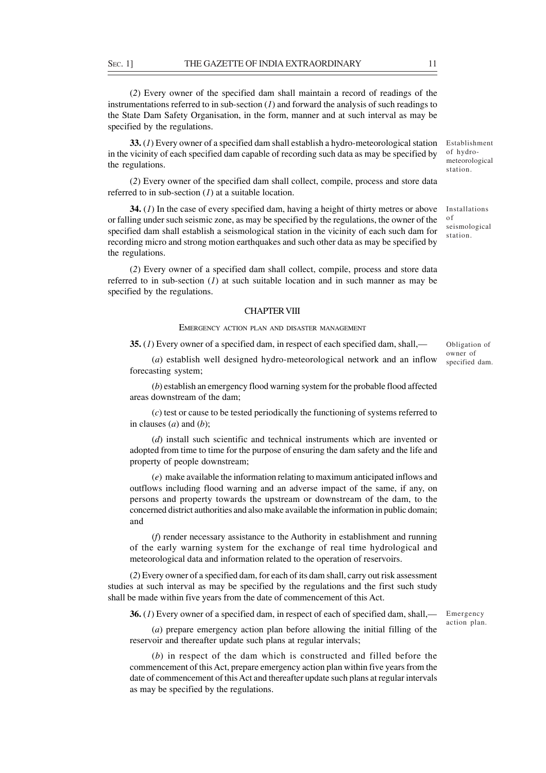(*2*) Every owner of the specified dam shall maintain a record of readings of the instrumentations referred to in sub-section  $(I)$  and forward the analysis of such readings to the State Dam Safety Organisation, in the form, manner and at such interval as may be specified by the regulations.

**33.** (*1*) Every owner of a specified dam shall establish a hydro-meteorological station in the vicinity of each specified dam capable of recording such data as may be specified by the regulations.

(*2*) Every owner of the specified dam shall collect, compile, process and store data referred to in sub-section (*1*) at a suitable location.

**34.** (*1*) In the case of every specified dam, having a height of thirty metres or above or falling under such seismic zone, as may be specified by the regulations, the owner of the specified dam shall establish a seismological station in the vicinity of each such dam for recording micro and strong motion earthquakes and such other data as may be specified by the regulations.

(*2*) Every owner of a specified dam shall collect, compile, process and store data referred to in sub-section (*1*) at such suitable location and in such manner as may be specified by the regulations.

#### CHAPTER VIII

### EMERGENCY ACTION PLAN AND DISASTER MANAGEMENT

**35.** (*1*) Every owner of a specified dam, in respect of each specified dam, shall,—

(*a*) establish well designed hydro-meteorological network and an inflow forecasting system;

(*b*) establish an emergency flood warning system for the probable flood affected areas downstream of the dam;

(*c*) test or cause to be tested periodically the functioning of systems referred to in clauses (*a*) and (*b*);

(*d*) install such scientific and technical instruments which are invented or adopted from time to time for the purpose of ensuring the dam safety and the life and property of people downstream;

(*e*) make available the information relating to maximum anticipated inflows and outflows including flood warning and an adverse impact of the same, if any, on persons and property towards the upstream or downstream of the dam, to the concerned district authorities and also make available the information in public domain; and

(*f*) render necessary assistance to the Authority in establishment and running of the early warning system for the exchange of real time hydrological and meteorological data and information related to the operation of reservoirs.

(*2*) Every owner of a specified dam, for each of its dam shall, carry out risk assessment studies at such interval as may be specified by the regulations and the first such study shall be made within five years from the date of commencement of this Act.

**36.** (*1*) Every owner of a specified dam, in respect of each of specified dam, shall,—

(*a*) prepare emergency action plan before allowing the initial filling of the reservoir and thereafter update such plans at regular intervals;

(*b*) in respect of the dam which is constructed and filled before the commencement of this Act, prepare emergency action plan within five years from the date of commencement of this Act and thereafter update such plans at regular intervals as may be specified by the regulations.

Obligation of owner of

Establishment of hydrometeorological station.

Installations

seismological station.

o f

Emergency action plan.

specified dam.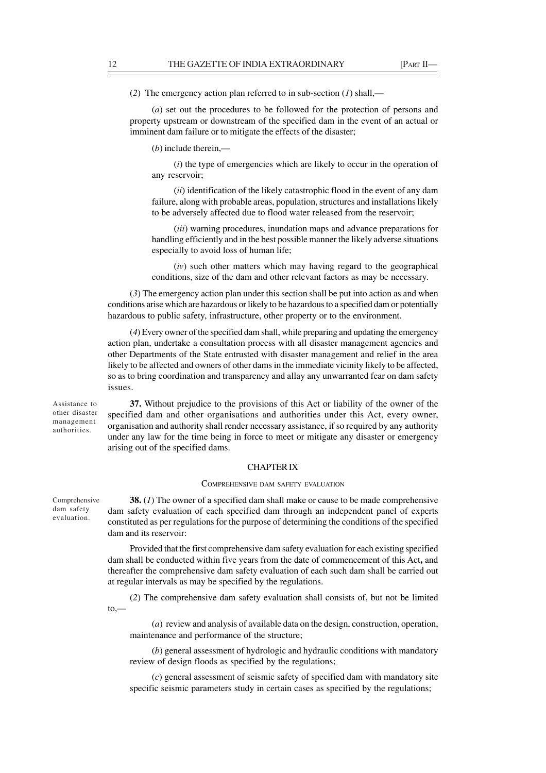(*2*) The emergency action plan referred to in sub-section (*1*) shall,—

(*a*) set out the procedures to be followed for the protection of persons and property upstream or downstream of the specified dam in the event of an actual or imminent dam failure or to mitigate the effects of the disaster;

(*b*) include therein,—

(*i*) the type of emergencies which are likely to occur in the operation of any reservoir;

(*ii*) identification of the likely catastrophic flood in the event of any dam failure, along with probable areas, population, structures and installations likely to be adversely affected due to flood water released from the reservoir;

(*iii*) warning procedures, inundation maps and advance preparations for handling efficiently and in the best possible manner the likely adverse situations especially to avoid loss of human life;

(*iv*) such other matters which may having regard to the geographical conditions, size of the dam and other relevant factors as may be necessary.

(*3*) The emergency action plan under this section shall be put into action as and when conditions arise which are hazardous or likely to be hazardous to a specified dam or potentially hazardous to public safety, infrastructure, other property or to the environment.

(*4*) Every owner of the specified dam shall, while preparing and updating the emergency action plan, undertake a consultation process with all disaster management agencies and other Departments of the State entrusted with disaster management and relief in the area likely to be affected and owners of other dams in the immediate vicinity likely to be affected, so as to bring coordination and transparency and allay any unwarranted fear on dam safety issues.

Assistance to other disaster management authorities.

**37.** Without prejudice to the provisions of this Act or liability of the owner of the specified dam and other organisations and authorities under this Act, every owner, organisation and authority shall render necessary assistance, if so required by any authority under any law for the time being in force to meet or mitigate any disaster or emergency arising out of the specified dams.

### CHAPTER IX

#### COMPREHENSIVE DAM SAFETY EVALUATION

**38.** (*1*) The owner of a specified dam shall make or cause to be made comprehensive dam safety evaluation of each specified dam through an independent panel of experts constituted as per regulations for the purpose of determining the conditions of the specified dam and its reservoir: Comprehensive dam safety evaluation.

> Provided that the first comprehensive dam safety evaluation for each existing specified dam shall be conducted within five years from the date of commencement of this Act**,** and thereafter the comprehensive dam safety evaluation of each such dam shall be carried out at regular intervals as may be specified by the regulations.

> (*2*) The comprehensive dam safety evaluation shall consists of, but not be limited  $to.$ —

(*a*) review and analysis of available data on the design, construction, operation, maintenance and performance of the structure;

(*b*) general assessment of hydrologic and hydraulic conditions with mandatory review of design floods as specified by the regulations;

(*c*) general assessment of seismic safety of specified dam with mandatory site specific seismic parameters study in certain cases as specified by the regulations;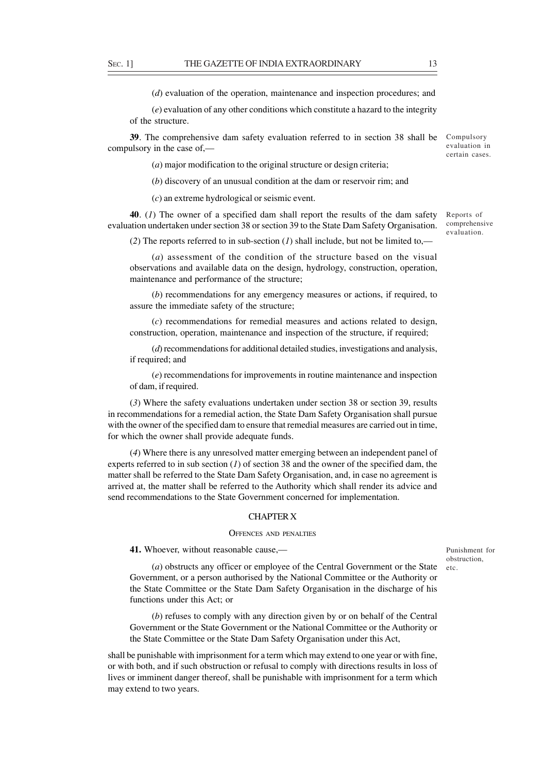(*d*) evaluation of the operation, maintenance and inspection procedures; and

(*e*) evaluation of any other conditions which constitute a hazard to the integrity of the structure.

**39**. The comprehensive dam safety evaluation referred to in section 38 shall be Compulsory compulsory in the case of,—

(*a*) major modification to the original structure or design criteria;

(*b*) discovery of an unusual condition at the dam or reservoir rim; and

(*c*) an extreme hydrological or seismic event.

**40**. (*1*) The owner of a specified dam shall report the results of the dam safety evaluation undertaken under section 38 or section 39 to the State Dam Safety Organisation.

(*2*) The reports referred to in sub-section (*1*) shall include, but not be limited to,—

(*a*) assessment of the condition of the structure based on the visual observations and available data on the design, hydrology, construction, operation, maintenance and performance of the structure;

(*b*) recommendations for any emergency measures or actions, if required, to assure the immediate safety of the structure;

(*c*) recommendations for remedial measures and actions related to design, construction, operation, maintenance and inspection of the structure, if required;

(*d*) recommendations for additional detailed studies, investigations and analysis, if required; and

(*e*) recommendations for improvements in routine maintenance and inspection of dam, if required.

(*3*) Where the safety evaluations undertaken under section 38 or section 39, results in recommendations for a remedial action, the State Dam Safety Organisation shall pursue with the owner of the specified dam to ensure that remedial measures are carried out in time, for which the owner shall provide adequate funds.

(*4*) Where there is any unresolved matter emerging between an independent panel of experts referred to in sub section (*1*) of section 38 and the owner of the specified dam, the matter shall be referred to the State Dam Safety Organisation, and, in case no agreement is arrived at, the matter shall be referred to the Authority which shall render its advice and send recommendations to the State Government concerned for implementation.

### CHAPTER X

#### OFFENCES AND PENALTIES

**41.** Whoever, without reasonable cause,—

Punishment for obstruction, etc.

(*a*) obstructs any officer or employee of the Central Government or the State Government, or a person authorised by the National Committee or the Authority or the State Committee or the State Dam Safety Organisation in the discharge of his functions under this Act; or

(*b*) refuses to comply with any direction given by or on behalf of the Central Government or the State Government or the National Committee or the Authority or the State Committee or the State Dam Safety Organisation under this Act,

shall be punishable with imprisonment for a term which may extend to one year or with fine, or with both, and if such obstruction or refusal to comply with directions results in loss of lives or imminent danger thereof, shall be punishable with imprisonment for a term which may extend to two years.

Reports of comprehensive evaluation.

evaluation in certain cases.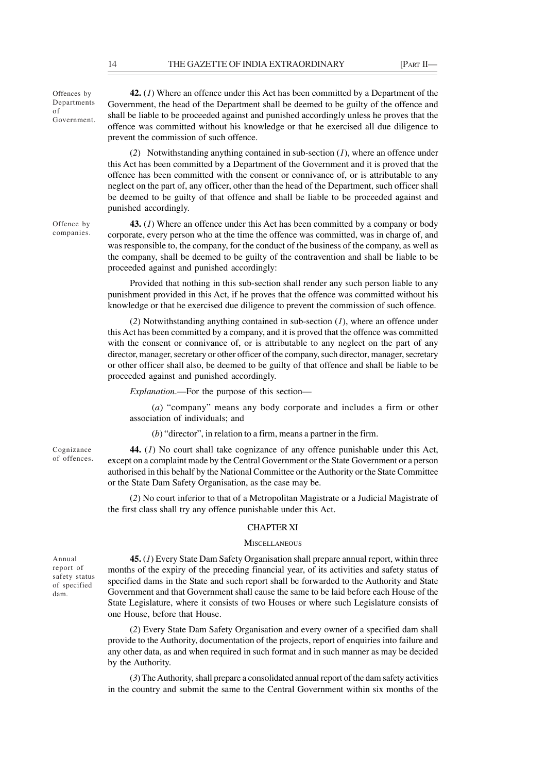Offences by Departments of Government.

**42.** (*1*) Where an offence under this Act has been committed by a Department of the Government, the head of the Department shall be deemed to be guilty of the offence and shall be liable to be proceeded against and punished accordingly unless he proves that the offence was committed without his knowledge or that he exercised all due diligence to prevent the commission of such offence.

(*2*) Notwithstanding anything contained in sub-section (*1*), where an offence under this Act has been committed by a Department of the Government and it is proved that the offence has been committed with the consent or connivance of, or is attributable to any neglect on the part of, any officer, other than the head of the Department, such officer shall be deemed to be guilty of that offence and shall be liable to be proceeded against and punished accordingly.

Offence by companies.

**43.** (*1*) Where an offence under this Act has been committed by a company or body corporate, every person who at the time the offence was committed, was in charge of, and was responsible to, the company, for the conduct of the business of the company, as well as the company, shall be deemed to be guilty of the contravention and shall be liable to be proceeded against and punished accordingly:

Provided that nothing in this sub-section shall render any such person liable to any punishment provided in this Act, if he proves that the offence was committed without his knowledge or that he exercised due diligence to prevent the commission of such offence.

(*2*) Notwithstanding anything contained in sub-section (*1*), where an offence under this Act has been committed by a company, and it is proved that the offence was committed with the consent or connivance of, or is attributable to any neglect on the part of any director, manager, secretary or other officer of the company, such director, manager, secretary or other officer shall also, be deemed to be guilty of that offence and shall be liable to be proceeded against and punished accordingly.

*Explanation*.—For the purpose of this section—

(*a*) "company" means any body corporate and includes a firm or other association of individuals; and

(*b*) "director", in relation to a firm, means a partner in the firm.

**44.** (*1*) No court shall take cognizance of any offence punishable under this Act, except on a complaint made by the Central Government or the State Government or a person authorised in this behalf by the National Committee or the Authority or the State Committee or the State Dam Safety Organisation, as the case may be.

(*2*) No court inferior to that of a Metropolitan Magistrate or a Judicial Magistrate of the first class shall try any offence punishable under this Act.

### CHAPTER XI

#### **MISCELLANEOUS**

Annual report of safety status of specified dam.

Cognizance of offences.

> **45.** (*1*) Every State Dam Safety Organisation shall prepare annual report, within three months of the expiry of the preceding financial year, of its activities and safety status of specified dams in the State and such report shall be forwarded to the Authority and State Government and that Government shall cause the same to be laid before each House of the State Legislature, where it consists of two Houses or where such Legislature consists of one House, before that House.

> (*2*) Every State Dam Safety Organisation and every owner of a specified dam shall provide to the Authority, documentation of the projects, report of enquiries into failure and any other data, as and when required in such format and in such manner as may be decided by the Authority.

> (*3*) The Authority, shall prepare a consolidated annual report of the dam safety activities in the country and submit the same to the Central Government within six months of the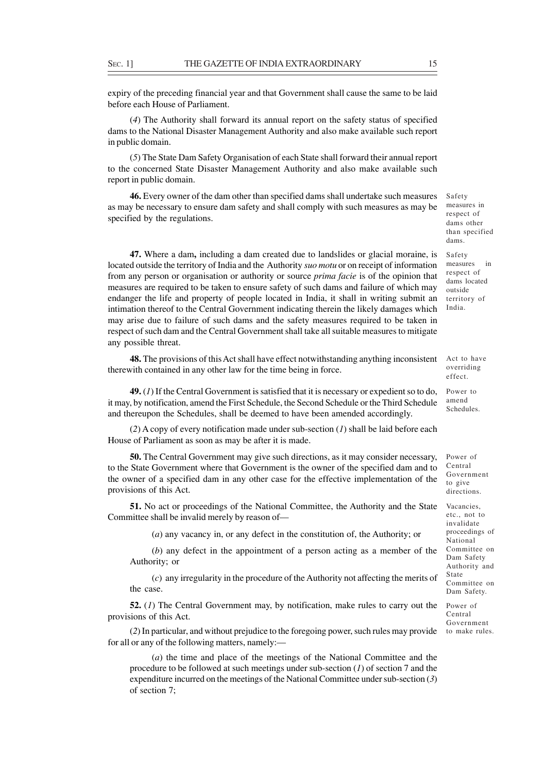expiry of the preceding financial year and that Government shall cause the same to be laid before each House of Parliament.

(*4*) The Authority shall forward its annual report on the safety status of specified dams to the National Disaster Management Authority and also make available such report in public domain.

(*5*) The State Dam Safety Organisation of each State shall forward their annual report to the concerned State Disaster Management Authority and also make available such report in public domain.

**46.** Every owner of the dam other than specified dams shall undertake such measures as may be necessary to ensure dam safety and shall comply with such measures as may be specified by the regulations.

**47.** Where a dam**,** including a dam created due to landslides or glacial moraine, is located outside the territory of India and the Authority *suo motu* or on receipt of information from any person or organisation or authority or source *prima facie* is of the opinion that measures are required to be taken to ensure safety of such dams and failure of which may endanger the life and property of people located in India, it shall in writing submit an intimation thereof to the Central Government indicating therein the likely damages which may arise due to failure of such dams and the safety measures required to be taken in respect of such dam and the Central Government shall take all suitable measures to mitigate any possible threat.

**48.** The provisions of this Act shall have effect notwithstanding anything inconsistent therewith contained in any other law for the time being in force.

**49.** (*1*) If the Central Government is satisfied that it is necessary or expedient so to do, it may, by notification, amend the First Schedule, the Second Schedule or the Third Schedule and thereupon the Schedules, shall be deemed to have been amended accordingly.

(*2*) A copy of every notification made under sub-section (*1*) shall be laid before each House of Parliament as soon as may be after it is made.

**50.** The Central Government may give such directions, as it may consider necessary, to the State Government where that Government is the owner of the specified dam and to the owner of a specified dam in any other case for the effective implementation of the provisions of this Act.

**51.** No act or proceedings of the National Committee, the Authority and the State Committee shall be invalid merely by reason of—

(*a*) any vacancy in, or any defect in the constitution of, the Authority; or

(*b*) any defect in the appointment of a person acting as a member of the Authority; or

(*c*) any irregularity in the procedure of the Authority not affecting the merits of the case.

**52.** (*1*) The Central Government may, by notification, make rules to carry out the provisions of this Act.

(*2*) In particular, and without prejudice to the foregoing power, such rules may provide for all or any of the following matters, namely:—

(*a*) the time and place of the meetings of the National Committee and the procedure to be followed at such meetings under sub-section (*1*) of section 7 and the expenditure incurred on the meetings of the National Committee under sub-section (*3*) of section 7;

Safety measures in respect of dams other than specified dams.

Safety measures in respect of dams located outside territory of India.

Act to have overriding effect.

Power to amend Schedules.

Power of Central Government to give directions.

Vacancies, etc., not to invalidate proceedings of National Committee on Dam Safety Authority and State Committee on Dam Safety.

Power of Central Government to make rules.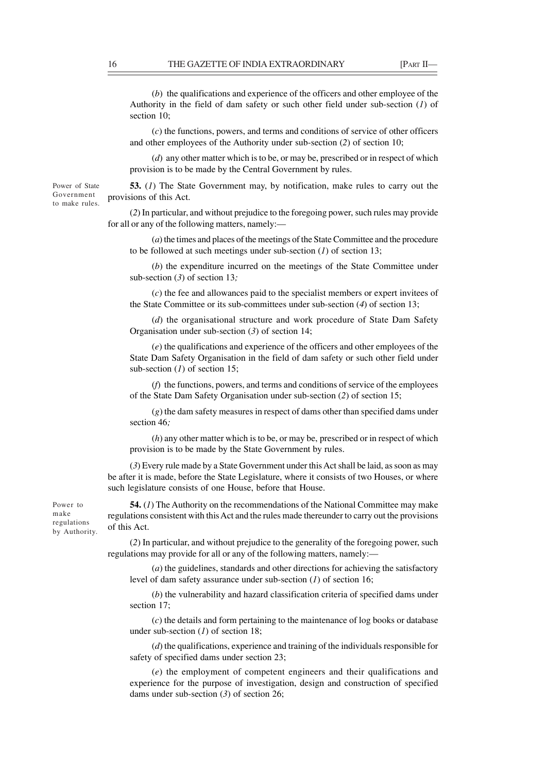(*b*)the qualifications and experience of the officers and other employee of the Authority in the field of dam safety or such other field under sub-section (*1*) of section 10;

(*c*) the functions, powers, and terms and conditions of service of other officers and other employees of the Authority under sub-section (*2*) of section 10;

(*d*) any other matter which is to be, or may be, prescribed or in respect of which provision is to be made by the Central Government by rules.

**53.** (*1*) The State Government may, by notification, make rules to carry out the provisions of this Act.

(*2*) In particular, and without prejudice to the foregoing power, such rules may provide for all or any of the following matters, namely:—

(*a*) the times and places of the meetings of the State Committee and the procedure to be followed at such meetings under sub-section (*1*) of section 13;

(*b*) the expenditure incurred on the meetings of the State Committee under sub-section (*3*) of section 13*;*

(*c*) the fee and allowances paid to the specialist members or expert invitees of the State Committee or its sub-committees under sub-section (*4*) of section 13;

(*d*) the organisational structure and work procedure of State Dam Safety Organisation under sub-section (*3*) of section 14;

(*e*) the qualifications and experience of the officers and other employees of the State Dam Safety Organisation in the field of dam safety or such other field under sub-section (*1*) of section 15;

(*f*) the functions, powers, and terms and conditions of service of the employees of the State Dam Safety Organisation under sub-section (*2*) of section 15;

(*g*) the dam safety measures in respect of dams other than specified dams under section 46*;*

(*h*) any other matter which is to be, or may be, prescribed or in respect of which provision is to be made by the State Government by rules.

(*3*) Every rule made by a State Government under this Act shall be laid, as soon as may be after it is made, before the State Legislature, where it consists of two Houses, or where such legislature consists of one House, before that House.

Power to make regulations by Authority.

**54.** (*1*) The Authority on the recommendations of the National Committee may make regulations consistent with this Act and the rules made thereunder to carry out the provisions of this Act.

(*2*) In particular, and without prejudice to the generality of the foregoing power, such regulations may provide for all or any of the following matters, namely:—

(*a*) the guidelines, standards and other directions for achieving the satisfactory level of dam safety assurance under sub-section (*1*) of section 16;

(*b*) the vulnerability and hazard classification criteria of specified dams under section 17;

(*c*) the details and form pertaining to the maintenance of log books or database under sub-section (*1*) of section 18;

(*d*) the qualifications, experience and training of the individuals responsible for safety of specified dams under section 23;

(*e*) the employment of competent engineers and their qualifications and experience for the purpose of investigation, design and construction of specified dams under sub-section (*3*) of section 26;

Power of State Government to make rules.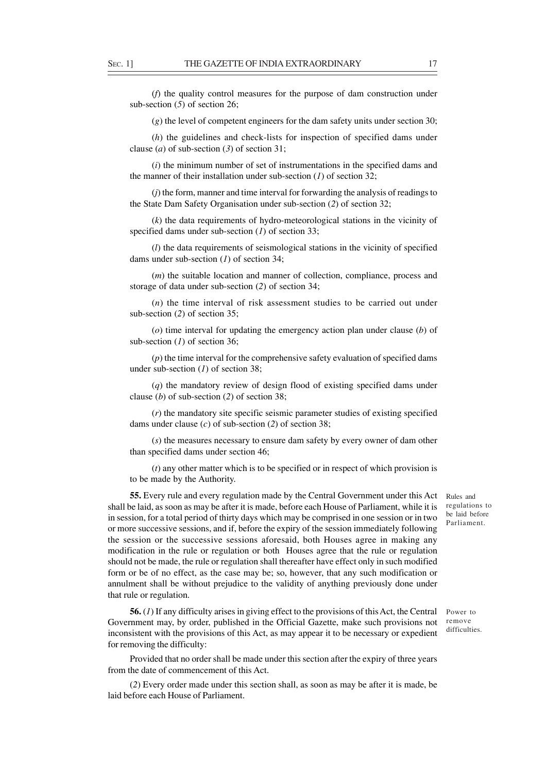(*f*) the quality control measures for the purpose of dam construction under sub-section (*5*) of section 26;

(*g*) the level of competent engineers for the dam safety units under section 30;

(*h*) the guidelines and check-lists for inspection of specified dams under clause (*a*) of sub-section (*3*) of section 31;

(*i*) the minimum number of set of instrumentations in the specified dams and the manner of their installation under sub-section  $(I)$  of section 32;

(*j*) the form, manner and time interval for forwarding the analysis of readings to the State Dam Safety Organisation under sub-section (*2*) of section 32;

(*k*) the data requirements of hydro-meteorological stations in the vicinity of specified dams under sub-section (*1*) of section 33;

(*l*) the data requirements of seismological stations in the vicinity of specified dams under sub-section (*1*) of section 34;

(*m*) the suitable location and manner of collection, compliance, process and storage of data under sub-section (*2*) of section 34;

(*n*) the time interval of risk assessment studies to be carried out under sub-section (*2*) of section 35;

(*o*) time interval for updating the emergency action plan under clause (*b*) of sub-section (*1*) of section 36;

(*p*) the time interval for the comprehensive safety evaluation of specified dams under sub-section (*1*) of section 38;

(*q*) the mandatory review of design flood of existing specified dams under clause (*b*) of sub-section (*2*) of section 38;

(*r*) the mandatory site specific seismic parameter studies of existing specified dams under clause (*c*) of sub-section (*2*) of section 38;

(*s*) the measures necessary to ensure dam safety by every owner of dam other than specified dams under section 46;

(*t*) any other matter which is to be specified or in respect of which provision is to be made by the Authority.

**55.** Every rule and every regulation made by the Central Government under this Act Rules and shall be laid, as soon as may be after it is made, before each House of Parliament, while it is in session, for a total period of thirty days which may be comprised in one session or in two or more successive sessions, and if, before the expiry of the session immediately following the session or the successive sessions aforesaid, both Houses agree in making any modification in the rule or regulation or both Houses agree that the rule or regulation should not be made, the rule or regulation shall thereafter have effect only in such modified form or be of no effect, as the case may be; so, however, that any such modification or annulment shall be without prejudice to the validity of anything previously done under that rule or regulation.

**56.** (*1*) If any difficulty arises in giving effect to the provisions of this Act, the Central Government may, by order, published in the Official Gazette, make such provisions not inconsistent with the provisions of this Act, as may appear it to be necessary or expedient for removing the difficulty:

Provided that no order shall be made under this section after the expiry of three years from the date of commencement of this Act.

(*2*) Every order made under this section shall, as soon as may be after it is made, be laid before each House of Parliament.

regulations to be laid before Parliament.

Power to remove difficulties.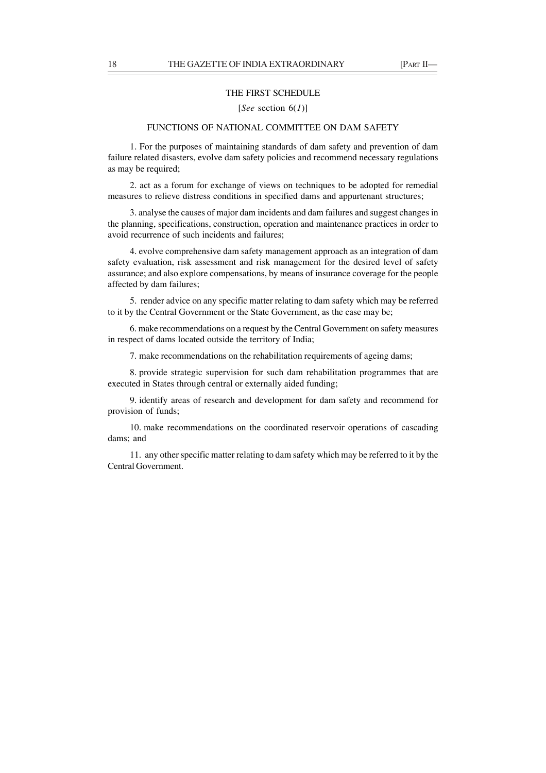#### THE FIRST SCHEDULE

#### [*See* section 6(*1*)]

# FUNCTIONS OF NATIONAL COMMITTEE ON DAM SAFETY

1. For the purposes of maintaining standards of dam safety and prevention of dam failure related disasters, evolve dam safety policies and recommend necessary regulations as may be required;

2. act as a forum for exchange of views on techniques to be adopted for remedial measures to relieve distress conditions in specified dams and appurtenant structures;

3. analyse the causes of major dam incidents and dam failures and suggest changes in the planning, specifications, construction, operation and maintenance practices in order to avoid recurrence of such incidents and failures;

4. evolve comprehensive dam safety management approach as an integration of dam safety evaluation, risk assessment and risk management for the desired level of safety assurance; and also explore compensations, by means of insurance coverage for the people affected by dam failures;

5. render advice on any specific matter relating to dam safety which may be referred to it by the Central Government or the State Government, as the case may be;

6. make recommendations on a request by the Central Government on safety measures in respect of dams located outside the territory of India;

7. make recommendations on the rehabilitation requirements of ageing dams;

8. provide strategic supervision for such dam rehabilitation programmes that are executed in States through central or externally aided funding;

9. identify areas of research and development for dam safety and recommend for provision of funds;

10. make recommendations on the coordinated reservoir operations of cascading dams; and

11. any other specific matter relating to dam safety which may be referred to it by the Central Government.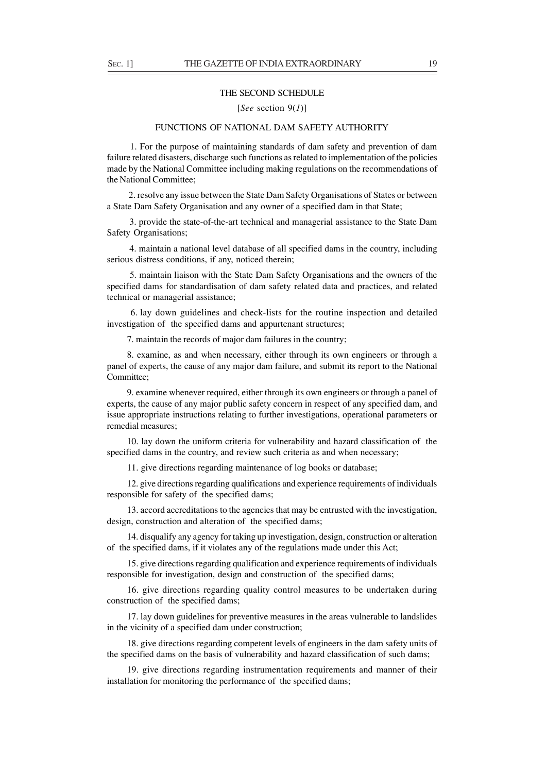#### THE SECOND SCHEDULE

### [*See* section 9(*1*)]

# FUNCTIONS OF NATIONAL DAM SAFETY AUTHORITY

 1. For the purpose of maintaining standards of dam safety and prevention of dam failure related disasters, discharge such functions as related to implementation of the policies made by the National Committee including making regulations on the recommendations of the National Committee;

 2. resolve any issue between the State Dam Safety Organisations of States or between a State Dam Safety Organisation and any owner of a specified dam in that State;

 3. provide the state-of-the-art technical and managerial assistance to the State Dam Safety Organisations;

 4. maintain a national level database of all specified dams in the country, including serious distress conditions, if any, noticed therein;

 5. maintain liaison with the State Dam Safety Organisations and the owners of the specified dams for standardisation of dam safety related data and practices, and related technical or managerial assistance;

 6. lay down guidelines and check-lists for the routine inspection and detailed investigation of the specified dams and appurtenant structures;

7. maintain the records of major dam failures in the country;

8. examine, as and when necessary, either through its own engineers or through a panel of experts, the cause of any major dam failure, and submit its report to the National Committee;

9. examine whenever required, either through its own engineers or through a panel of experts, the cause of any major public safety concern in respect of any specified dam, and issue appropriate instructions relating to further investigations, operational parameters or remedial measures;

10. lay down the uniform criteria for vulnerability and hazard classification of the specified dams in the country, and review such criteria as and when necessary;

11. give directions regarding maintenance of log books or database;

12. give directions regarding qualifications and experience requirements of individuals responsible for safety of the specified dams;

13. accord accreditations to the agencies that may be entrusted with the investigation, design, construction and alteration of the specified dams;

14. disqualify any agency for taking up investigation, design, construction or alteration of the specified dams, if it violates any of the regulations made under this Act;

15. give directions regarding qualification and experience requirements of individuals responsible for investigation, design and construction of the specified dams;

16. give directions regarding quality control measures to be undertaken during construction of the specified dams;

17. lay down guidelines for preventive measures in the areas vulnerable to landslides in the vicinity of a specified dam under construction;

18. give directions regarding competent levels of engineers in the dam safety units of the specified dams on the basis of vulnerability and hazard classification of such dams;

19. give directions regarding instrumentation requirements and manner of their installation for monitoring the performance of the specified dams;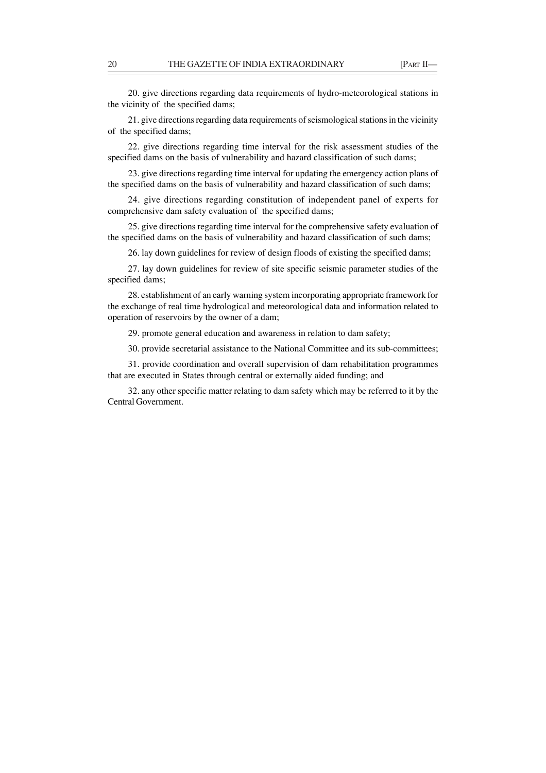20. give directions regarding data requirements of hydro-meteorological stations in the vicinity of the specified dams;

21. give directions regarding data requirements of seismological stations in the vicinity of the specified dams;

22. give directions regarding time interval for the risk assessment studies of the specified dams on the basis of vulnerability and hazard classification of such dams;

23. give directions regarding time interval for updating the emergency action plans of the specified dams on the basis of vulnerability and hazard classification of such dams;

24. give directions regarding constitution of independent panel of experts for comprehensive dam safety evaluation of the specified dams;

25. give directions regarding time interval for the comprehensive safety evaluation of the specified dams on the basis of vulnerability and hazard classification of such dams;

26. lay down guidelines for review of design floods of existing the specified dams;

27. lay down guidelines for review of site specific seismic parameter studies of the specified dams;

28. establishment of an early warning system incorporating appropriate framework for the exchange of real time hydrological and meteorological data and information related to operation of reservoirs by the owner of a dam;

29. promote general education and awareness in relation to dam safety;

30. provide secretarial assistance to the National Committee and its sub-committees;

31. provide coordination and overall supervision of dam rehabilitation programmes that are executed in States through central or externally aided funding; and

32. any other specific matter relating to dam safety which may be referred to it by the Central Government.